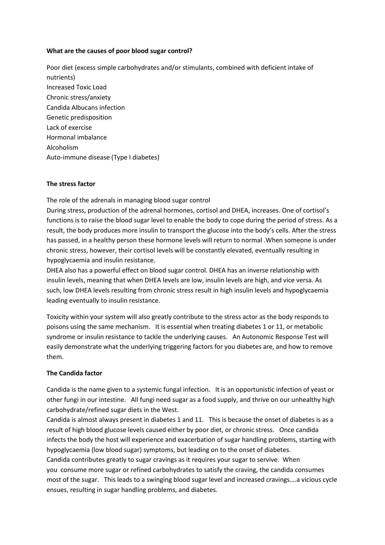## **What are the causes of poor blood sugar control?**

Poor diet (excess simple carbohydrates and/or stimulants, combined with deficient intake of nutrients) Increased Toxic Load Chronic stress/anxiety Candida Albucans infection Genetic predisposition Lack of exercise Hormonal imbalance Alcoholism Auto-immune disease (Type I diabetes)

## **The stress factor**

The role of the adrenals in managing blood sugar control

During stress, production of the adrenal hormones, cortisol and DHEA, increases. One of cortisol's functions is to raise the blood sugar level to enable the body to cope during the period of stress. As a result, the body produces more insulin to transport the glucose into the body's cells. After the stress has passed, in a healthy person these hormone levels will return to normal .When someone is under chronic stress, however, their cortisol levels will be constantly elevated, eventually resulting in hypoglycaemia and insulin resistance.

DHEA also has a powerful effect on blood sugar control. DHEA has an inverse relationship with insulin levels, meaning that when DHEA levels are low, insulin levels are high, and vice versa. As such, low DHEA levels resulting from chronic stress result in high insulin levels and hypoglycaemia leading eventually to insulin resistance.

Toxicity within your system will also greatly contribute to the stress actor as the body responds to poisons using the same mechanism. It is essential when treating diabetes 1 or 11, or metabolic syndrome or insulin resistance to tackle the underlying causes. An Autonomic Response Test will easily demonstrate what the underlying triggering factors for you diabetes are, and how to remove them.

## **The Candida factor**

Candida is the name given to a systemic fungal infection. It is an opportunistic infection of yeast or other fungi in our intestine. All fungi need sugar as a food supply, and thrive on our unhealthy high carbohydrate/refined sugar diets in the West.

Candida is almost always present in diabetes 1 and 11. This is because the onset of diabetes is as a result of high blood glucose levels caused either by poor diet, or chronic stress. Once candida infects the body the host will experience and exacerbation of sugar handling problems, starting with hypoglycaemia (low blood sugar) symptoms, but leading on to the onset of diabetes. Candida contributes greatly to sugar cravings as it requires your sugar to servive. When

you consume more sugar or refined carbohydrates to satisfy the craving, the candida consumes most of the sugar. This leads to a swinging blood sugar level and increased cravings….a vicious cycle ensues, resulting in sugar handling problems, and diabetes.